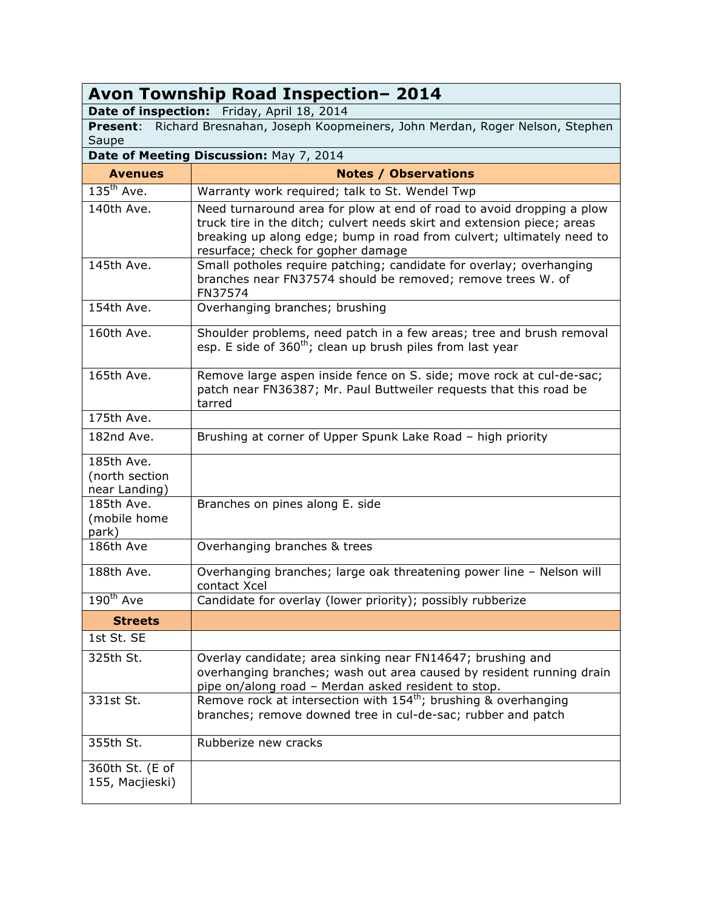| Avon Township Road Inspection-2014                                                          |                                                                                                                                                                                                                                                                 |  |
|---------------------------------------------------------------------------------------------|-----------------------------------------------------------------------------------------------------------------------------------------------------------------------------------------------------------------------------------------------------------------|--|
| Date of inspection: Friday, April 18, 2014                                                  |                                                                                                                                                                                                                                                                 |  |
| Present: Richard Bresnahan, Joseph Koopmeiners, John Merdan, Roger Nelson, Stephen<br>Saupe |                                                                                                                                                                                                                                                                 |  |
|                                                                                             | Date of Meeting Discussion: May 7, 2014                                                                                                                                                                                                                         |  |
| <b>Avenues</b>                                                                              | <b>Notes / Observations</b>                                                                                                                                                                                                                                     |  |
| $135^{th}$ Ave.                                                                             | Warranty work required; talk to St. Wendel Twp                                                                                                                                                                                                                  |  |
| 140th Ave.                                                                                  | Need turnaround area for plow at end of road to avoid dropping a plow<br>truck tire in the ditch; culvert needs skirt and extension piece; areas<br>breaking up along edge; bump in road from culvert; ultimately need to<br>resurface; check for gopher damage |  |
| 145th Ave.                                                                                  | Small potholes require patching; candidate for overlay; overhanging<br>branches near FN37574 should be removed; remove trees W. of<br>FN37574                                                                                                                   |  |
| 154th Ave.                                                                                  | Overhanging branches; brushing                                                                                                                                                                                                                                  |  |
| 160th Ave.                                                                                  | Shoulder problems, need patch in a few areas; tree and brush removal<br>esp. E side of 360 <sup>th</sup> ; clean up brush piles from last year                                                                                                                  |  |
| 165th Ave.                                                                                  | Remove large aspen inside fence on S. side; move rock at cul-de-sac;<br>patch near FN36387; Mr. Paul Buttweiler requests that this road be<br>tarred                                                                                                            |  |
| 175th Ave.                                                                                  |                                                                                                                                                                                                                                                                 |  |
| 182nd Ave.                                                                                  | Brushing at corner of Upper Spunk Lake Road - high priority                                                                                                                                                                                                     |  |
| 185th Ave.<br>(north section<br>near Landing)                                               |                                                                                                                                                                                                                                                                 |  |
| 185th Ave.<br>(mobile home<br>park)                                                         | Branches on pines along E. side                                                                                                                                                                                                                                 |  |
| 186th Ave                                                                                   | Overhanging branches & trees                                                                                                                                                                                                                                    |  |
| 188th Ave.                                                                                  | Overhanging branches; large oak threatening power line - Nelson will<br>contact Xcel                                                                                                                                                                            |  |
| 190 <sup>th</sup> Ave                                                                       | Candidate for overlay (lower priority); possibly rubberize                                                                                                                                                                                                      |  |
| <b>Streets</b>                                                                              |                                                                                                                                                                                                                                                                 |  |
| 1st St. SE                                                                                  |                                                                                                                                                                                                                                                                 |  |
| 325th St.                                                                                   | Overlay candidate; area sinking near FN14647; brushing and<br>overhanging branches; wash out area caused by resident running drain<br>pipe on/along road - Merdan asked resident to stop.                                                                       |  |
| 331st St.                                                                                   | Remove rock at intersection with $154^{\text{th}}$ ; brushing & overhanging<br>branches; remove downed tree in cul-de-sac; rubber and patch                                                                                                                     |  |
| 355th St.                                                                                   | Rubberize new cracks                                                                                                                                                                                                                                            |  |
| 360th St. (E of<br>155, Macjieski)                                                          |                                                                                                                                                                                                                                                                 |  |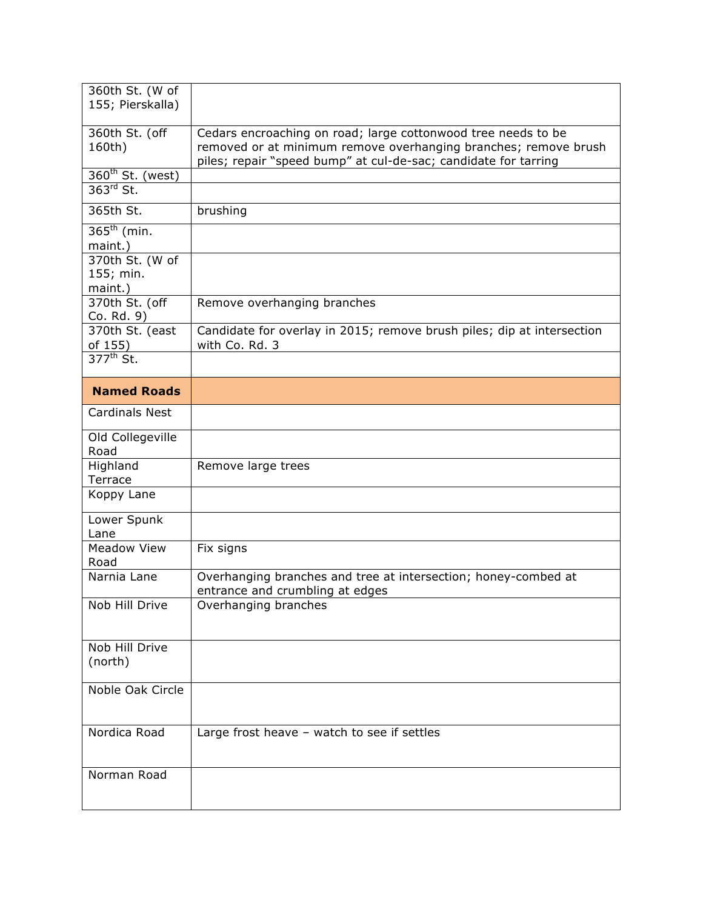| 360th St. (W of<br>155; Pierskalla)     |                                                                                                                                                                                                     |
|-----------------------------------------|-----------------------------------------------------------------------------------------------------------------------------------------------------------------------------------------------------|
| 360th St. (off<br>160th)                | Cedars encroaching on road; large cottonwood tree needs to be<br>removed or at minimum remove overhanging branches; remove brush<br>piles; repair "speed bump" at cul-de-sac; candidate for tarring |
| $360th$ St. (west)<br>363rd St.         |                                                                                                                                                                                                     |
| 365th St.                               | brushing                                                                                                                                                                                            |
| $365^{\text{th}}$ (min.<br>maint.)      |                                                                                                                                                                                                     |
| 370th St. (W of<br>155; min.<br>maint.) |                                                                                                                                                                                                     |
| 370th St. (off<br>Co. Rd. 9)            | Remove overhanging branches                                                                                                                                                                         |
| 370th St. (east<br>of 155)              | Candidate for overlay in 2015; remove brush piles; dip at intersection<br>with Co. Rd. 3                                                                                                            |
| $377^{\text{th}}$ St.                   |                                                                                                                                                                                                     |
| <b>Named Roads</b>                      |                                                                                                                                                                                                     |
| <b>Cardinals Nest</b>                   |                                                                                                                                                                                                     |
| Old Collegeville<br>Road                |                                                                                                                                                                                                     |
| Highland<br>Terrace                     | Remove large trees                                                                                                                                                                                  |
| Koppy Lane                              |                                                                                                                                                                                                     |
| Lower Spunk<br>Lane                     |                                                                                                                                                                                                     |
| <b>Meadow View</b><br>Road              | Fix signs                                                                                                                                                                                           |
| Narnia Lane                             | Overhanging branches and tree at intersection; honey-combed at<br>entrance and crumbling at edges                                                                                                   |
| Nob Hill Drive                          | Overhanging branches                                                                                                                                                                                |
| Nob Hill Drive<br>(north)               |                                                                                                                                                                                                     |
| Noble Oak Circle                        |                                                                                                                                                                                                     |
| Nordica Road                            | Large frost heave - watch to see if settles                                                                                                                                                         |
| Norman Road                             |                                                                                                                                                                                                     |